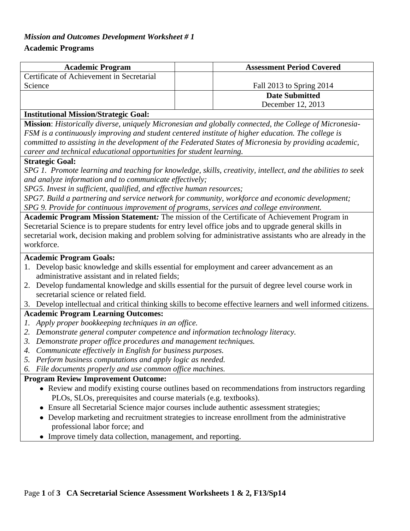### *Mission and Outcomes Development Worksheet # 1*

### **Academic Programs**

| <b>Academic Program</b>                   | <b>Assessment Period Covered</b> |
|-------------------------------------------|----------------------------------|
| Certificate of Achievement in Secretarial |                                  |
| Science                                   | Fall 2013 to Spring 2014         |
|                                           | <b>Date Submitted</b>            |
|                                           | December 12, 2013                |

#### **Institutional Mission/Strategic Goal:**

**Mission**: *Historically diverse, uniquely Micronesian and globally connected, the College of Micronesia-FSM is a continuously improving and student centered institute of higher education. The college is committed to assisting in the development of the Federated States of Micronesia by providing academic, career and technical educational opportunities for student learning.*

#### **Strategic Goal:**

*SPG 1. Promote learning and teaching for knowledge, skills, creativity, intellect, and the abilities to seek and analyze information and to communicate effectively;*

*SPG5. Invest in sufficient, qualified, and effective human resources;* 

*SPG7. Build a partnering and service network for community, workforce and economic development; SPG 9. Provide for continuous improvement of programs, services and college environment.*

**Academic Program Mission Statement***:* The mission of the Certificate of Achievement Program in Secretarial Science is to prepare students for entry level office jobs and to upgrade general skills in secretarial work, decision making and problem solving for administrative assistants who are already in the workforce.

### **Academic Program Goals:**

- 1. Develop basic knowledge and skills essential for employment and career advancement as an administrative assistant and in related fields;
- 2. Develop fundamental knowledge and skills essential for the pursuit of degree level course work in secretarial science or related field.
- 3. Develop intellectual and critical thinking skills to become effective learners and well informed citizens.

# **Academic Program Learning Outcomes:**

- *1. Apply proper bookkeeping techniques in an office.*
- *2. Demonstrate general computer competence and information technology literacy.*
- *3. Demonstrate proper office procedures and management techniques.*
- *4. Communicate effectively in English for business purposes.*
- *5. Perform business computations and apply logic as needed.*
- *6. File documents properly and use common office machines.*

### **Program Review Improvement Outcome:**

- Review and modify existing course outlines based on recommendations from instructors regarding PLOs, SLOs, prerequisites and course materials (e.g. textbooks).
- Ensure all Secretarial Science major courses include authentic assessment strategies;
- Develop marketing and recruitment strategies to increase enrollment from the administrative professional labor force; and
- Improve timely data collection, management, and reporting.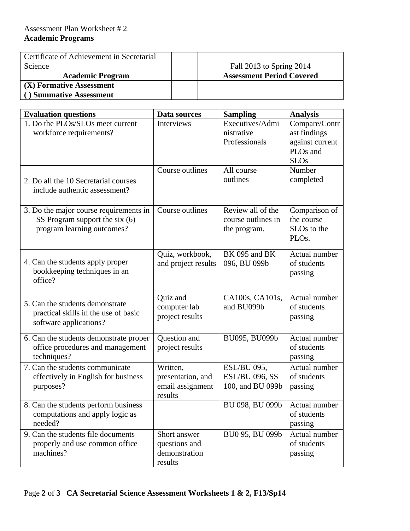# Assessment Plan Worksheet # 2 **Academic Programs**

| Certificate of Achievement in Secretarial |                                  |
|-------------------------------------------|----------------------------------|
| Science                                   | Fall 2013 to Spring 2014         |
| <b>Academic Program</b>                   | <b>Assessment Period Covered</b> |
| (X) Formative Assessment                  |                                  |
| <b>Summative Assessment</b>               |                                  |

| <b>Evaluation questions</b>                                                                              | Data sources                                                 | <b>Sampling</b>                                                 | <b>Analysis</b>                                                                         |
|----------------------------------------------------------------------------------------------------------|--------------------------------------------------------------|-----------------------------------------------------------------|-----------------------------------------------------------------------------------------|
| $\overline{1. Do}$ the PLOs/SLOs meet current<br>workforce requirements?                                 | <b>Interviews</b>                                            | Executives/Admi<br>nistrative<br>Professionals                  | Compare/Contr<br>ast findings<br>against current<br>PLO <sub>s</sub> and<br><b>SLOs</b> |
| 2. Do all the 10 Secretarial courses<br>include authentic assessment?                                    | Course outlines                                              | All course<br>outlines                                          | Number<br>completed                                                                     |
| 3. Do the major course requirements in<br>SS Program support the six $(6)$<br>program learning outcomes? | Course outlines                                              | Review all of the<br>course outlines in<br>the program.         | Comparison of<br>the course<br>SLO <sub>s</sub> to the<br>PLO <sub>s</sub> .            |
| 4. Can the students apply proper<br>bookkeeping techniques in an<br>office?                              | Quiz, workbook,<br>and project results                       | BK 095 and BK<br>096, BU 099b                                   | Actual number<br>of students<br>passing                                                 |
| 5. Can the students demonstrate<br>practical skills in the use of basic<br>software applications?        | Quiz and<br>computer lab<br>project results                  | CA100s, CA101s,<br>and BU099b                                   | Actual number<br>of students<br>passing                                                 |
| 6. Can the students demonstrate proper<br>office procedures and management<br>techniques?                | Question and<br>project results                              | BU095, BU099b                                                   | Actual number<br>of students<br>passing                                                 |
| 7. Can the students communicate<br>effectively in English for business<br>purposes?                      | Written,<br>presentation, and<br>email assignment<br>results | <b>ESL/BU 095,</b><br><b>ESL/BU 096, SS</b><br>100, and BU 099b | Actual number<br>of students<br>passing                                                 |
| 8. Can the students perform business<br>computations and apply logic as<br>needed?                       |                                                              | BU 098, BU 099b                                                 | Actual number<br>of students<br>passing                                                 |
| 9. Can the students file documents<br>properly and use common office<br>machines?                        | Short answer<br>questions and<br>demonstration<br>results    | BU0 95, BU 099b                                                 | Actual number<br>of students<br>passing                                                 |